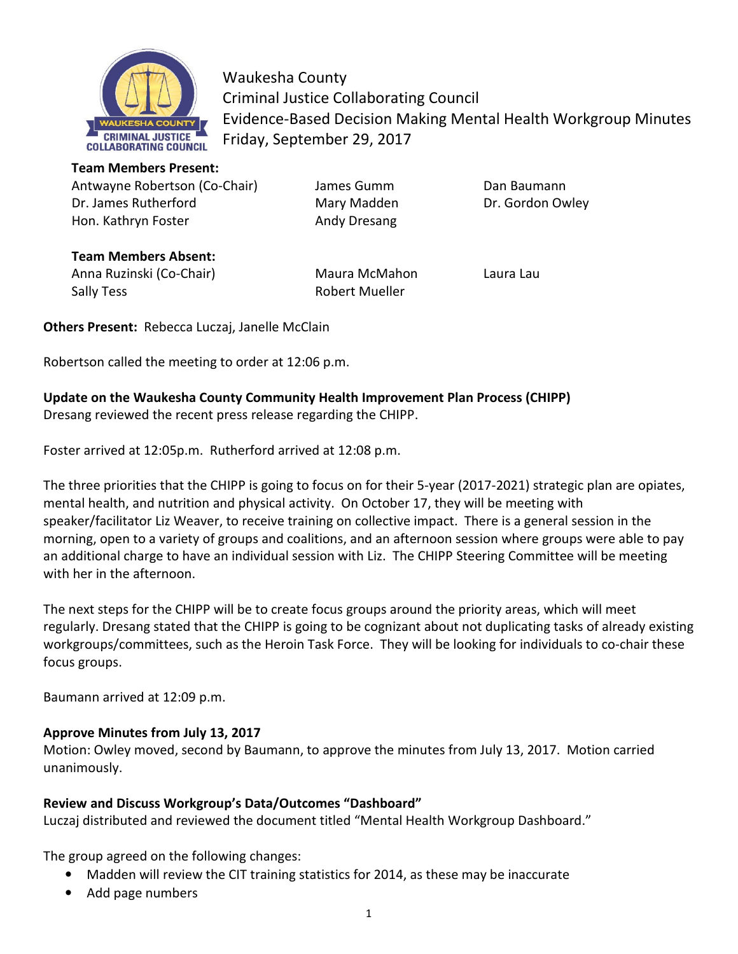

Waukesha County Criminal Justice Collaborating Council Evidence-Based Decision Making Mental Health Workgroup Minutes Friday, September 29, 2017

**Team Members Present:** 

Antwayne Robertson (Co-Chair) James Gumm Dan Baumann Dr. James Rutherford **Mary Madden** Dr. Gordon Owley Hon. Kathryn Foster **Andy Dresang** 

**Team Members Absent:** Anna Ruzinski (Co-Chair) Maura McMahon Laura Lau Sally Tess **Robert Mueller** 

**Others Present:** Rebecca Luczaj, Janelle McClain

Robertson called the meeting to order at 12:06 p.m.

# **Update on the Waukesha County Community Health Improvement Plan Process (CHIPP)**

Dresang reviewed the recent press release regarding the CHIPP.

Foster arrived at 12:05p.m. Rutherford arrived at 12:08 p.m.

The three priorities that the CHIPP is going to focus on for their 5-year (2017-2021) strategic plan are opiates, mental health, and nutrition and physical activity. On October 17, they will be meeting with speaker/facilitator Liz Weaver, to receive training on collective impact. There is a general session in the morning, open to a variety of groups and coalitions, and an afternoon session where groups were able to pay an additional charge to have an individual session with Liz. The CHIPP Steering Committee will be meeting with her in the afternoon.

The next steps for the CHIPP will be to create focus groups around the priority areas, which will meet regularly. Dresang stated that the CHIPP is going to be cognizant about not duplicating tasks of already existing workgroups/committees, such as the Heroin Task Force. They will be looking for individuals to co-chair these focus groups.

Baumann arrived at 12:09 p.m.

## **Approve Minutes from July 13, 2017**

Motion: Owley moved, second by Baumann, to approve the minutes from July 13, 2017. Motion carried unanimously.

## **Review and Discuss Workgroup's Data/Outcomes "Dashboard"**

Luczaj distributed and reviewed the document titled "Mental Health Workgroup Dashboard."

The group agreed on the following changes:

- Madden will review the CIT training statistics for 2014, as these may be inaccurate
- Add page numbers